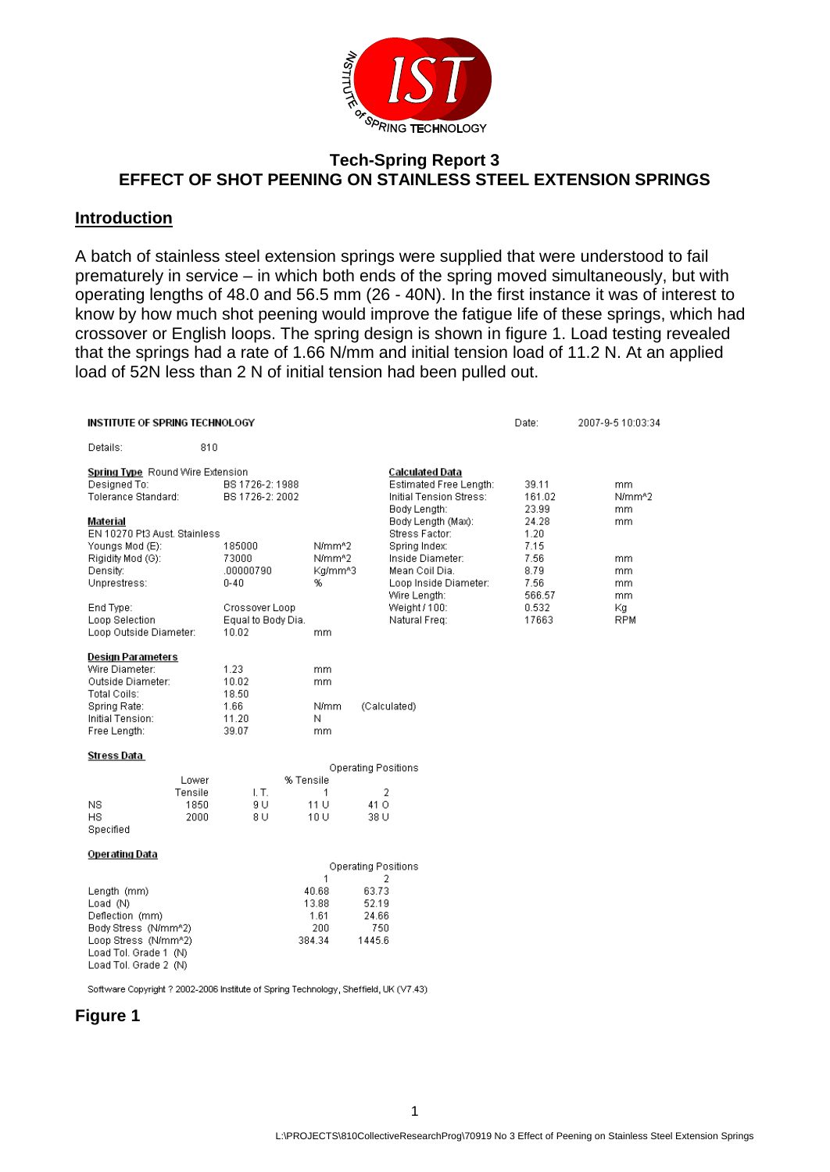

### **Tech-Spring Report 3 EFFECT OF SHOT PEENING ON STAINLESS STEEL EXTENSION SPRINGS**

#### **Introduction**

A batch of stainless steel extension springs were supplied that were understood to fail prematurely in service – in which both ends of the spring moved simultaneously, but with operating lengths of 48.0 and 56.5 mm (26 - 40N). In the first instance it was of interest to know by how much shot peening would improve the fatigue life of these springs, which had crossover or English loops. The spring design is shown in figure 1. Load testing revealed that the springs had a rate of 1.66 N/mm and initial tension load of 11.2 N. At an applied load of 52N less than 2 N of initial tension had been pulled out.

| INSTITUTE OF SPRING TECHNOLOGY                                                                                                               |                                                            |                                                                       |                                                                                                               |                                                 | 2007-9-5 10:03:34                |
|----------------------------------------------------------------------------------------------------------------------------------------------|------------------------------------------------------------|-----------------------------------------------------------------------|---------------------------------------------------------------------------------------------------------------|-------------------------------------------------|----------------------------------|
| Details:                                                                                                                                     | 810                                                        |                                                                       |                                                                                                               |                                                 |                                  |
| Spring Type Round Wire Extension<br>Designed To:<br>Tolerance Standard:                                                                      | BS 1726-2: 1988<br>BS 1726-2: 2002                         |                                                                       | Calculated Data<br>Estimated Free Length:<br>Initial Tension Stress:<br>Body Length:                          | 39.11<br>161.02<br>23.99                        | mm.<br>N/mm <sup>42</sup><br>mm. |
| Material<br>EN 10270 Pt3 Aust. Stainless                                                                                                     | Body Length (Max):<br>Stress Factor:                       | 24.28<br>1.20                                                         | mm.                                                                                                           |                                                 |                                  |
| Youngs Mod (E):<br>Rigidity Mod (G):<br>Density:<br>Unprestress:<br>End Type:                                                                | 185000<br>73000<br>.00000790<br>$0 - 40$<br>Crossover Loop | N/mm <sup>A2</sup><br>N/mm <sup>A2</sup><br>Kg/mm <sup>A</sup> 3<br>% | Spring Index:<br>Inside Diameter:<br>Mean Coil Dia.<br>Loop Inside Diameter:<br>Wire Length:<br>Weight / 100: | 7.15<br>7.56<br>8.79<br>7.56<br>566.57<br>0.532 | mm<br>mm<br>mm.<br>mm.<br>Кg     |
| Loop Selection<br>Loop Outside Diameter:                                                                                                     | Equal to Body Dia.<br>10.02                                | mm                                                                    | Natural Freq:                                                                                                 | 17663                                           | <b>RPM</b>                       |
| <b>Design Parameters</b><br>Wire Diameter:<br>Outside Diameter:<br>Total Coils:<br>Spring Rate:<br>Initial Tension:<br>Free Length:          | 1.23<br>10.02<br>18.50<br>1.66<br>11.20<br>39.07           | mm<br>mm<br>N/mm<br>N<br>mm                                           | (Calculated)                                                                                                  |                                                 |                                  |
| Stress Data<br><b>Operating Positions</b>                                                                                                    |                                                            |                                                                       |                                                                                                               |                                                 |                                  |
| Lower<br>Tensile<br><b>NS</b><br>1850<br><b>HS</b><br>2000<br>Specified                                                                      | I.T.<br>9 U<br>8 U                                         | % Tensile<br>1<br>11 U<br>10 U                                        | 2<br>41 O<br>38 U                                                                                             |                                                 |                                  |
| Operating Data                                                                                                                               |                                                            |                                                                       |                                                                                                               |                                                 |                                  |
| <b>Operating Positions</b><br>1<br>2                                                                                                         |                                                            |                                                                       |                                                                                                               |                                                 |                                  |
| Length (mm)<br>Load (N)<br>Deflection (mm)<br>Body Stress (N/mm^2)<br>Loop Stress (N/mm^2)<br>Load Tol. Grade 1 (N)<br>Load Tol. Grade 2 (N) |                                                            | 40.68<br>13.88<br>1.61<br>200<br>384.34                               | 63.73<br>52.19<br>24.66<br>750<br>1445.6                                                                      |                                                 |                                  |

Software Copyright ? 2002-2006 Institute of Spring Technology, Sheffield, UK (V7.43)

### **Figure 1**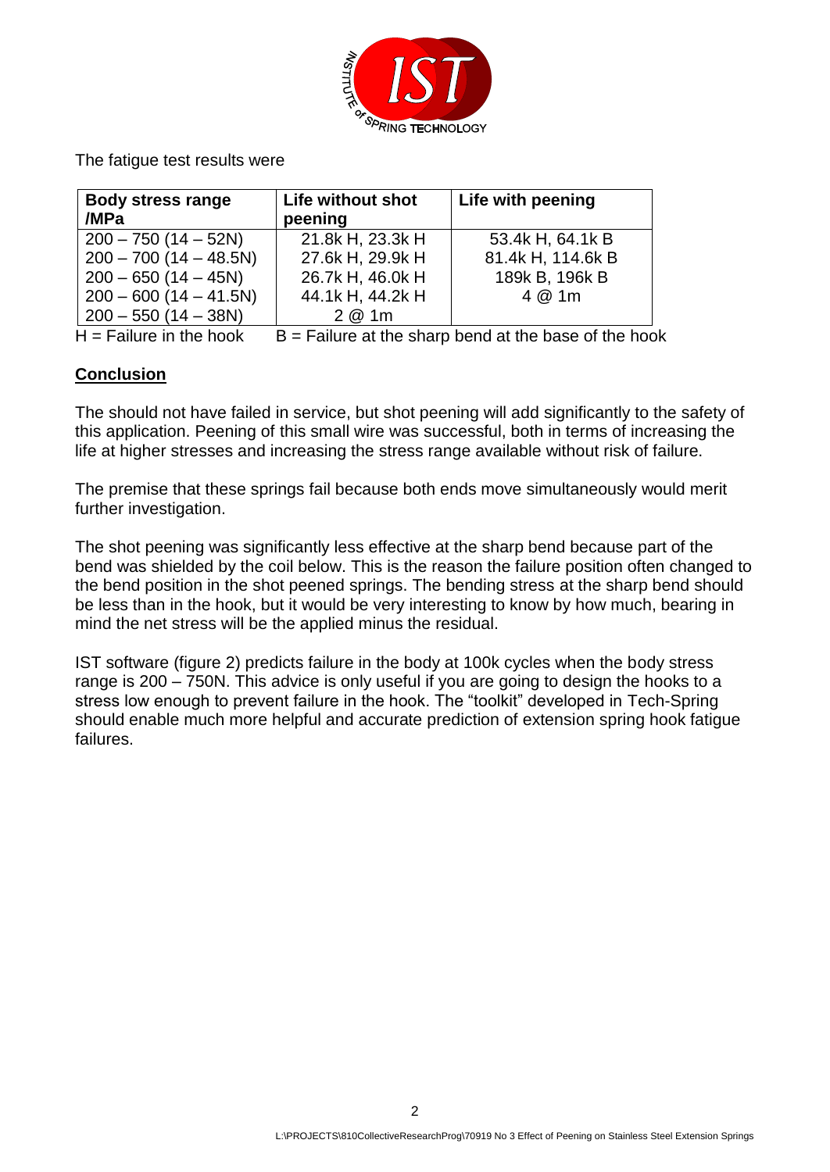

The fatigue test results were

| <b>Body stress range</b><br>/MPa | Life without shot<br>peening | Life with peening |
|----------------------------------|------------------------------|-------------------|
| $200 - 750(14 - 52N)$            | 21.8k H, 23.3k H             | 53.4k H, 64.1k B  |
| $200 - 700 (14 - 48.5N)$         | 27.6k H, 29.9k H             | 81.4k H, 114.6k B |
| $200 - 650(14 - 45N)$            | 26.7k H, 46.0k H             | 189k B, 196k B    |
| $200 - 600(14 - 41.5N)$          | 44.1k H, 44.2k H             | 4 @ 1m            |
| $200 - 550(14 - 38N)$            | 2@1m                         |                   |

 $H =$  Failure in the hook  $B =$  Failure at the sharp bend at the base of the hook

# **Conclusion**

The should not have failed in service, but shot peening will add significantly to the safety of this application. Peening of this small wire was successful, both in terms of increasing the life at higher stresses and increasing the stress range available without risk of failure.

The premise that these springs fail because both ends move simultaneously would merit further investigation.

The shot peening was significantly less effective at the sharp bend because part of the bend was shielded by the coil below. This is the reason the failure position often changed to the bend position in the shot peened springs. The bending stress at the sharp bend should be less than in the hook, but it would be very interesting to know by how much, bearing in mind the net stress will be the applied minus the residual.

IST software (figure 2) predicts failure in the body at 100k cycles when the body stress range is 200 – 750N. This advice is only useful if you are going to design the hooks to a stress low enough to prevent failure in the hook. The "toolkit" developed in Tech-Spring should enable much more helpful and accurate prediction of extension spring hook fatigue failures.